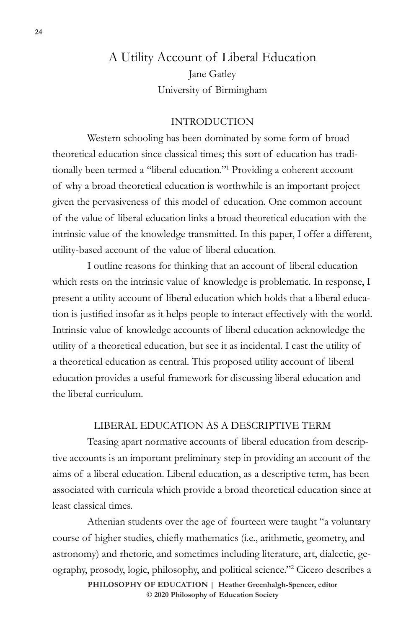# A Utility Account of Liberal Education Jane Gatley University of Birmingham

### INTRODUCTION

Western schooling has been dominated by some form of broad theoretical education since classical times; this sort of education has traditionally been termed a "liberal education."1 Providing a coherent account of why a broad theoretical education is worthwhile is an important project given the pervasiveness of this model of education. One common account of the value of liberal education links a broad theoretical education with the intrinsic value of the knowledge transmitted. In this paper, I offer a different, utility-based account of the value of liberal education.

I outline reasons for thinking that an account of liberal education which rests on the intrinsic value of knowledge is problematic. In response, I present a utility account of liberal education which holds that a liberal education is justified insofar as it helps people to interact effectively with the world. Intrinsic value of knowledge accounts of liberal education acknowledge the utility of a theoretical education, but see it as incidental. I cast the utility of a theoretical education as central. This proposed utility account of liberal education provides a useful framework for discussing liberal education and the liberal curriculum.

## LIBERAL EDUCATION AS A DESCRIPTIVE TERM

Teasing apart normative accounts of liberal education from descriptive accounts is an important preliminary step in providing an account of the aims of a liberal education. Liberal education, as a descriptive term, has been associated with curricula which provide a broad theoretical education since at least classical times.

Athenian students over the age of fourteen were taught "a voluntary course of higher studies, chiefly mathematics (i.e., arithmetic, geometry, and astronomy) and rhetoric, and sometimes including literature, art, dialectic, geography, prosody, logic, philosophy, and political science."2 Cicero describes a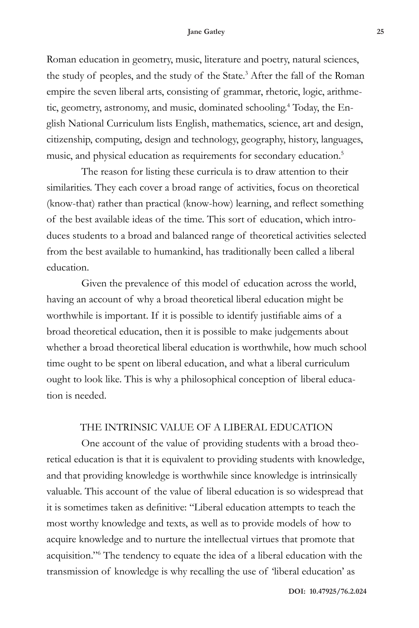Roman education in geometry, music, literature and poetry, natural sciences, the study of peoples, and the study of the State.<sup>3</sup> After the fall of the Roman empire the seven liberal arts, consisting of grammar, rhetoric, logic, arithmetic, geometry, astronomy, and music, dominated schooling.<sup>4</sup> Today, the English National Curriculum lists English, mathematics, science, art and design, citizenship, computing, design and technology, geography, history, languages, music, and physical education as requirements for secondary education.<sup>5</sup>

The reason for listing these curricula is to draw attention to their similarities. They each cover a broad range of activities, focus on theoretical (know-that) rather than practical (know-how) learning, and reflect something of the best available ideas of the time. This sort of education, which introduces students to a broad and balanced range of theoretical activities selected from the best available to humankind, has traditionally been called a liberal education.

Given the prevalence of this model of education across the world, having an account of why a broad theoretical liberal education might be worthwhile is important. If it is possible to identify justifiable aims of a broad theoretical education, then it is possible to make judgements about whether a broad theoretical liberal education is worthwhile, how much school time ought to be spent on liberal education, and what a liberal curriculum ought to look like. This is why a philosophical conception of liberal education is needed.

## THE INTRINSIC VALUE OF A LIBERAL EDUCATION

One account of the value of providing students with a broad theoretical education is that it is equivalent to providing students with knowledge, and that providing knowledge is worthwhile since knowledge is intrinsically valuable. This account of the value of liberal education is so widespread that it is sometimes taken as definitive: "Liberal education attempts to teach the most worthy knowledge and texts, as well as to provide models of how to acquire knowledge and to nurture the intellectual virtues that promote that acquisition."6 The tendency to equate the idea of a liberal education with the transmission of knowledge is why recalling the use of 'liberal education' as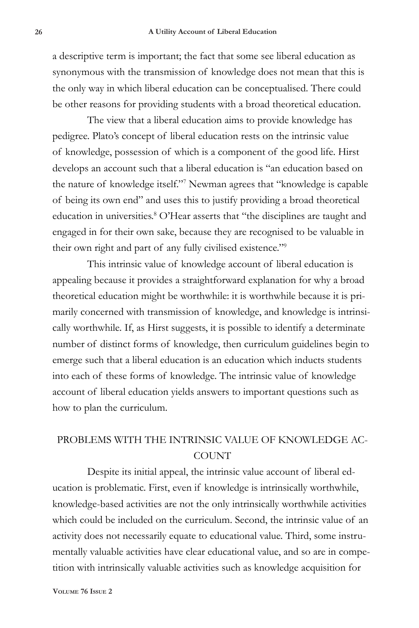a descriptive term is important; the fact that some see liberal education as synonymous with the transmission of knowledge does not mean that this is the only way in which liberal education can be conceptualised. There could be other reasons for providing students with a broad theoretical education.

The view that a liberal education aims to provide knowledge has pedigree. Plato's concept of liberal education rests on the intrinsic value of knowledge, possession of which is a component of the good life. Hirst develops an account such that a liberal education is "an education based on the nature of knowledge itself."7 Newman agrees that "knowledge is capable of being its own end" and uses this to justify providing a broad theoretical education in universities.<sup>8</sup> O'Hear asserts that "the disciplines are taught and engaged in for their own sake, because they are recognised to be valuable in their own right and part of any fully civilised existence."9

This intrinsic value of knowledge account of liberal education is appealing because it provides a straightforward explanation for why a broad theoretical education might be worthwhile: it is worthwhile because it is primarily concerned with transmission of knowledge, and knowledge is intrinsically worthwhile. If, as Hirst suggests, it is possible to identify a determinate number of distinct forms of knowledge, then curriculum guidelines begin to emerge such that a liberal education is an education which inducts students into each of these forms of knowledge. The intrinsic value of knowledge account of liberal education yields answers to important questions such as how to plan the curriculum.

# PROBLEMS WITH THE INTRINSIC VALUE OF KNOWLEDGE AC-COUNT

Despite its initial appeal, the intrinsic value account of liberal education is problematic. First, even if knowledge is intrinsically worthwhile, knowledge-based activities are not the only intrinsically worthwhile activities which could be included on the curriculum. Second, the intrinsic value of an activity does not necessarily equate to educational value. Third, some instrumentally valuable activities have clear educational value, and so are in competition with intrinsically valuable activities such as knowledge acquisition for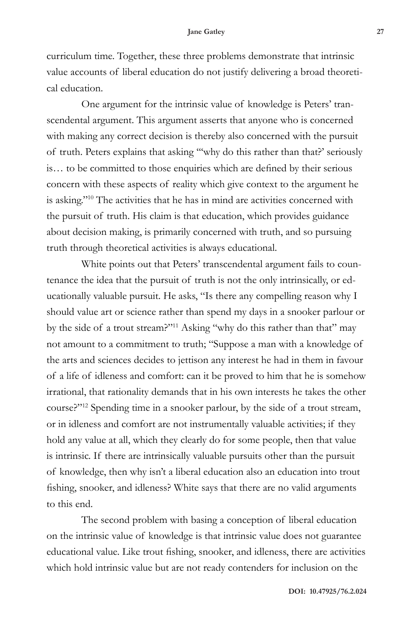curriculum time. Together, these three problems demonstrate that intrinsic value accounts of liberal education do not justify delivering a broad theoretical education.

One argument for the intrinsic value of knowledge is Peters' transcendental argument. This argument asserts that anyone who is concerned with making any correct decision is thereby also concerned with the pursuit of truth. Peters explains that asking '''why do this rather than that?' seriously is… to be committed to those enquiries which are defined by their serious concern with these aspects of reality which give context to the argument he is asking."10 The activities that he has in mind are activities concerned with the pursuit of truth. His claim is that education, which provides guidance about decision making, is primarily concerned with truth, and so pursuing truth through theoretical activities is always educational.

White points out that Peters' transcendental argument fails to countenance the idea that the pursuit of truth is not the only intrinsically, or educationally valuable pursuit. He asks, "Is there any compelling reason why I should value art or science rather than spend my days in a snooker parlour or by the side of a trout stream?"11 Asking "why do this rather than that" may not amount to a commitment to truth; "Suppose a man with a knowledge of the arts and sciences decides to jettison any interest he had in them in favour of a life of idleness and comfort: can it be proved to him that he is somehow irrational, that rationality demands that in his own interests he takes the other course?"12 Spending time in a snooker parlour, by the side of a trout stream, or in idleness and comfort are not instrumentally valuable activities; if they hold any value at all, which they clearly do for some people, then that value is intrinsic. If there are intrinsically valuable pursuits other than the pursuit of knowledge, then why isn't a liberal education also an education into trout fishing, snooker, and idleness? White says that there are no valid arguments to this end.

The second problem with basing a conception of liberal education on the intrinsic value of knowledge is that intrinsic value does not guarantee educational value. Like trout fishing, snooker, and idleness, there are activities which hold intrinsic value but are not ready contenders for inclusion on the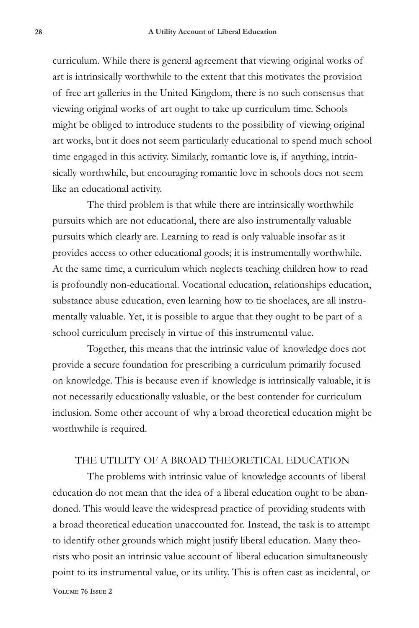curriculum. While there is general agreement that viewing original works of art is intrinsically worthwhile to the extent that this motivates the provision of free art galleries in the United Kingdom, there is no such consensus that viewing original works of art ought to take up curriculum time. Schools might be obliged to introduce students to the possibility of viewing original art works, but it does not seem particularly educational to spend much school time engaged in this activity. Similarly, romantic love is, if anything, intrinsically worthwhile, but encouraging romantic love in schools does not seem like an educational activity.

The third problem is that while there are intrinsically worthwhile pursuits which are not educational, there are also instrumentally valuable pursuits which clearly are. Learning to read is only valuable insofar as it provides access to other educational goods; it is instrumentally worthwhile. At the same time, a curriculum which neglects teaching children how to read is profoundly non-educational. Vocational education, relationships education, substance abuse education, even learning how to tie shoelaces, are all instrumentally valuable. Yet, it is possible to argue that they ought to be part of a school curriculum precisely in virtue of this instrumental value.

Together, this means that the intrinsic value of knowledge does not provide a secure foundation for prescribing a curriculum primarily focused on knowledge. This is because even if knowledge is intrinsically valuable, it is not necessarily educationally valuable, or the best contender for curriculum inclusion. Some other account of why a broad theoretical education might be worthwhile is required.

### THE UTILITY OF A BROAD THEORETICAL EDUCATION

The problems with intrinsic value of knowledge accounts of liberal education do not mean that the idea of a liberal education ought to be abandoned. This would leave the widespread practice of providing students with a broad theoretical education unaccounted for. Instead, the task is to attempt to identify other grounds which might justify liberal education. Many theorists who posit an intrinsic value account of liberal education simultaneously point to its instrumental value, or its utility. This is often cast as incidental, or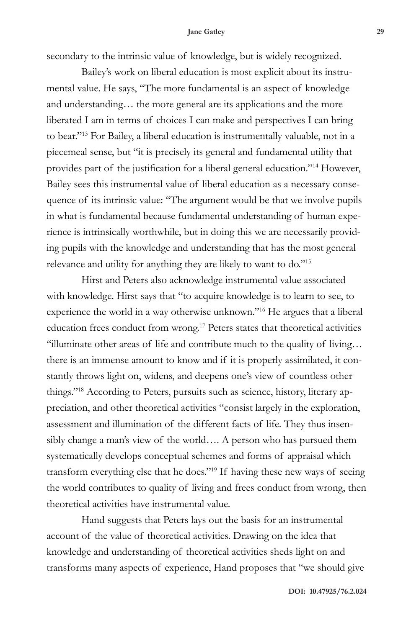secondary to the intrinsic value of knowledge, but is widely recognized.

Bailey's work on liberal education is most explicit about its instrumental value. He says, "The more fundamental is an aspect of knowledge and understanding… the more general are its applications and the more liberated I am in terms of choices I can make and perspectives I can bring to bear."13 For Bailey, a liberal education is instrumentally valuable, not in a piecemeal sense, but "it is precisely its general and fundamental utility that provides part of the justification for a liberal general education."14 However, Bailey sees this instrumental value of liberal education as a necessary consequence of its intrinsic value: "The argument would be that we involve pupils in what is fundamental because fundamental understanding of human experience is intrinsically worthwhile, but in doing this we are necessarily providing pupils with the knowledge and understanding that has the most general relevance and utility for anything they are likely to want to do."15

Hirst and Peters also acknowledge instrumental value associated with knowledge. Hirst says that "to acquire knowledge is to learn to see, to experience the world in a way otherwise unknown."16 He argues that a liberal education frees conduct from wrong.17 Peters states that theoretical activities "illuminate other areas of life and contribute much to the quality of living… there is an immense amount to know and if it is properly assimilated, it constantly throws light on, widens, and deepens one's view of countless other things."18 According to Peters, pursuits such as science, history, literary appreciation, and other theoretical activities "consist largely in the exploration, assessment and illumination of the different facts of life. They thus insensibly change a man's view of the world…. A person who has pursued them systematically develops conceptual schemes and forms of appraisal which transform everything else that he does."19 If having these new ways of seeing the world contributes to quality of living and frees conduct from wrong, then theoretical activities have instrumental value.

Hand suggests that Peters lays out the basis for an instrumental account of the value of theoretical activities. Drawing on the idea that knowledge and understanding of theoretical activities sheds light on and transforms many aspects of experience, Hand proposes that "we should give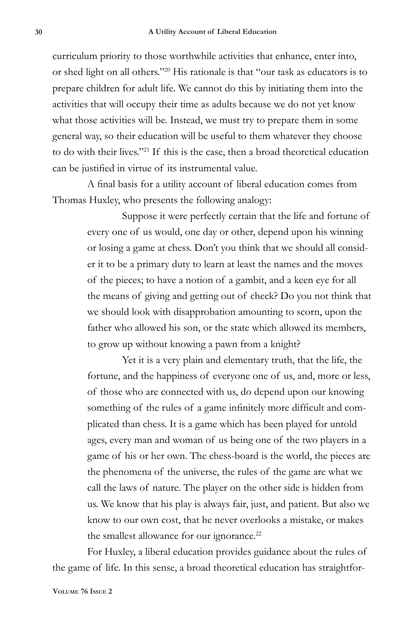curriculum priority to those worthwhile activities that enhance, enter into, or shed light on all others."20 His rationale is that "our task as educators is to prepare children for adult life. We cannot do this by initiating them into the activities that will occupy their time as adults because we do not yet know what those activities will be. Instead, we must try to prepare them in some general way, so their education will be useful to them whatever they choose to do with their lives."21 If this is the case, then a broad theoretical education can be justified in virtue of its instrumental value.

A final basis for a utility account of liberal education comes from Thomas Huxley, who presents the following analogy:

> Suppose it were perfectly certain that the life and fortune of every one of us would, one day or other, depend upon his winning or losing a game at chess. Don't you think that we should all consider it to be a primary duty to learn at least the names and the moves of the pieces; to have a notion of a gambit, and a keen eye for all the means of giving and getting out of check? Do you not think that we should look with disapprobation amounting to scorn, upon the father who allowed his son, or the state which allowed its members, to grow up without knowing a pawn from a knight?

> Yet it is a very plain and elementary truth, that the life, the fortune, and the happiness of everyone one of us, and, more or less, of those who are connected with us, do depend upon our knowing something of the rules of a game infinitely more difficult and complicated than chess. It is a game which has been played for untold ages, every man and woman of us being one of the two players in a game of his or her own. The chess-board is the world, the pieces are the phenomena of the universe, the rules of the game are what we call the laws of nature. The player on the other side is hidden from us. We know that his play is always fair, just, and patient. But also we know to our own cost, that he never overlooks a mistake, or makes the smallest allowance for our ignorance.<sup>22</sup>

For Huxley, a liberal education provides guidance about the rules of the game of life. In this sense, a broad theoretical education has straightfor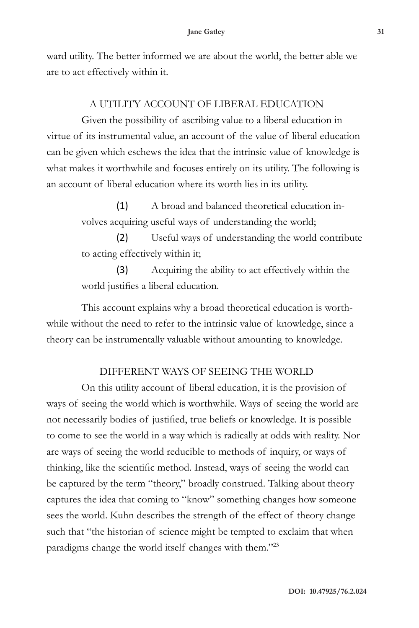ward utility. The better informed we are about the world, the better able we are to act effectively within it.

## A UTILITY ACCOUNT OF LIBERAL EDUCATION

Given the possibility of ascribing value to a liberal education in virtue of its instrumental value, an account of the value of liberal education can be given which eschews the idea that the intrinsic value of knowledge is what makes it worthwhile and focuses entirely on its utility. The following is an account of liberal education where its worth lies in its utility.

> (1) A broad and balanced theoretical education involves acquiring useful ways of understanding the world;

(2) Useful ways of understanding the world contribute to acting effectively within it;

(3) Acquiring the ability to act effectively within the world justifies a liberal education.

This account explains why a broad theoretical education is worthwhile without the need to refer to the intrinsic value of knowledge, since a theory can be instrumentally valuable without amounting to knowledge.

## DIFFERENT WAYS OF SEEING THE WORLD

On this utility account of liberal education, it is the provision of ways of seeing the world which is worthwhile. Ways of seeing the world are not necessarily bodies of justified, true beliefs or knowledge. It is possible to come to see the world in a way which is radically at odds with reality. Nor are ways of seeing the world reducible to methods of inquiry, or ways of thinking, like the scientific method. Instead, ways of seeing the world can be captured by the term "theory," broadly construed. Talking about theory captures the idea that coming to "know" something changes how someone sees the world. Kuhn describes the strength of the effect of theory change such that "the historian of science might be tempted to exclaim that when paradigms change the world itself changes with them."23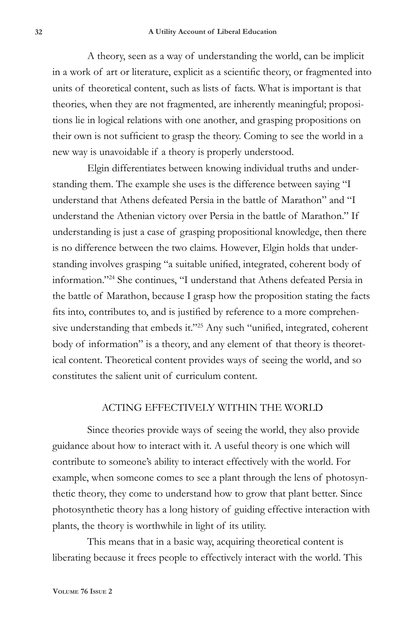A theory, seen as a way of understanding the world, can be implicit in a work of art or literature, explicit as a scientific theory, or fragmented into units of theoretical content, such as lists of facts. What is important is that theories, when they are not fragmented, are inherently meaningful; propositions lie in logical relations with one another, and grasping propositions on their own is not sufficient to grasp the theory. Coming to see the world in a new way is unavoidable if a theory is properly understood.

Elgin differentiates between knowing individual truths and understanding them. The example she uses is the difference between saying "I understand that Athens defeated Persia in the battle of Marathon" and "I understand the Athenian victory over Persia in the battle of Marathon." If understanding is just a case of grasping propositional knowledge, then there is no difference between the two claims. However, Elgin holds that understanding involves grasping "a suitable unified, integrated, coherent body of information."24 She continues, "I understand that Athens defeated Persia in the battle of Marathon, because I grasp how the proposition stating the facts fits into, contributes to, and is justified by reference to a more comprehensive understanding that embeds it."25 Any such "unified, integrated, coherent body of information" is a theory, and any element of that theory is theoretical content. Theoretical content provides ways of seeing the world, and so constitutes the salient unit of curriculum content.

### ACTING EFFECTIVELY WITHIN THE WORLD

Since theories provide ways of seeing the world, they also provide guidance about how to interact with it. A useful theory is one which will contribute to someone's ability to interact effectively with the world. For example, when someone comes to see a plant through the lens of photosynthetic theory, they come to understand how to grow that plant better. Since photosynthetic theory has a long history of guiding effective interaction with plants, the theory is worthwhile in light of its utility.

This means that in a basic way, acquiring theoretical content is liberating because it frees people to effectively interact with the world. This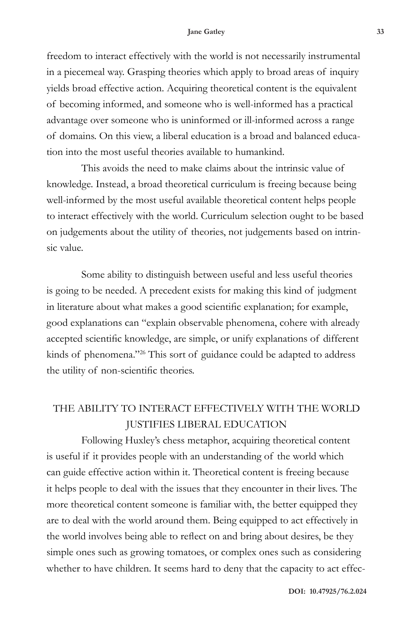freedom to interact effectively with the world is not necessarily instrumental in a piecemeal way. Grasping theories which apply to broad areas of inquiry yields broad effective action. Acquiring theoretical content is the equivalent of becoming informed, and someone who is well-informed has a practical advantage over someone who is uninformed or ill-informed across a range of domains. On this view, a liberal education is a broad and balanced education into the most useful theories available to humankind.

This avoids the need to make claims about the intrinsic value of knowledge. Instead, a broad theoretical curriculum is freeing because being well-informed by the most useful available theoretical content helps people to interact effectively with the world. Curriculum selection ought to be based on judgements about the utility of theories, not judgements based on intrinsic value.

Some ability to distinguish between useful and less useful theories is going to be needed. A precedent exists for making this kind of judgment in literature about what makes a good scientific explanation; for example, good explanations can "explain observable phenomena, cohere with already accepted scientific knowledge, are simple, or unify explanations of different kinds of phenomena."26 This sort of guidance could be adapted to address the utility of non-scientific theories.

# THE ABILITY TO INTERACT EFFECTIVELY WITH THE WORLD JUSTIFIES LIBERAL EDUCATION

Following Huxley's chess metaphor, acquiring theoretical content is useful if it provides people with an understanding of the world which can guide effective action within it. Theoretical content is freeing because it helps people to deal with the issues that they encounter in their lives. The more theoretical content someone is familiar with, the better equipped they are to deal with the world around them. Being equipped to act effectively in the world involves being able to reflect on and bring about desires, be they simple ones such as growing tomatoes, or complex ones such as considering whether to have children. It seems hard to deny that the capacity to act effec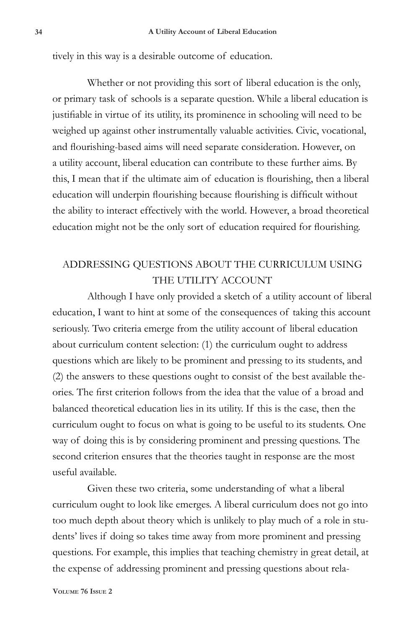tively in this way is a desirable outcome of education.

Whether or not providing this sort of liberal education is the only, or primary task of schools is a separate question. While a liberal education is justifiable in virtue of its utility, its prominence in schooling will need to be weighed up against other instrumentally valuable activities. Civic, vocational, and flourishing-based aims will need separate consideration. However, on a utility account, liberal education can contribute to these further aims. By this, I mean that if the ultimate aim of education is flourishing, then a liberal education will underpin flourishing because flourishing is difficult without the ability to interact effectively with the world. However, a broad theoretical education might not be the only sort of education required for flourishing.

# ADDRESSING QUESTIONS ABOUT THE CURRICULUM USING THE UTILITY ACCOUNT

Although I have only provided a sketch of a utility account of liberal education, I want to hint at some of the consequences of taking this account seriously. Two criteria emerge from the utility account of liberal education about curriculum content selection: (1) the curriculum ought to address questions which are likely to be prominent and pressing to its students, and (2) the answers to these questions ought to consist of the best available theories. The first criterion follows from the idea that the value of a broad and balanced theoretical education lies in its utility. If this is the case, then the curriculum ought to focus on what is going to be useful to its students. One way of doing this is by considering prominent and pressing questions. The second criterion ensures that the theories taught in response are the most useful available.

Given these two criteria, some understanding of what a liberal curriculum ought to look like emerges. A liberal curriculum does not go into too much depth about theory which is unlikely to play much of a role in students' lives if doing so takes time away from more prominent and pressing questions. For example, this implies that teaching chemistry in great detail, at the expense of addressing prominent and pressing questions about rela-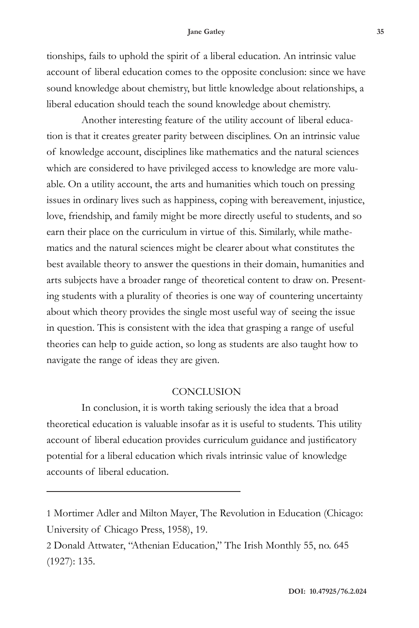tionships, fails to uphold the spirit of a liberal education. An intrinsic value account of liberal education comes to the opposite conclusion: since we have sound knowledge about chemistry, but little knowledge about relationships, a liberal education should teach the sound knowledge about chemistry.

Another interesting feature of the utility account of liberal education is that it creates greater parity between disciplines. On an intrinsic value of knowledge account, disciplines like mathematics and the natural sciences which are considered to have privileged access to knowledge are more valuable. On a utility account, the arts and humanities which touch on pressing issues in ordinary lives such as happiness, coping with bereavement, injustice, love, friendship, and family might be more directly useful to students, and so earn their place on the curriculum in virtue of this. Similarly, while mathematics and the natural sciences might be clearer about what constitutes the best available theory to answer the questions in their domain, humanities and arts subjects have a broader range of theoretical content to draw on. Presenting students with a plurality of theories is one way of countering uncertainty about which theory provides the single most useful way of seeing the issue in question. This is consistent with the idea that grasping a range of useful theories can help to guide action, so long as students are also taught how to navigate the range of ideas they are given.

### **CONCLUSION**

In conclusion, it is worth taking seriously the idea that a broad theoretical education is valuable insofar as it is useful to students. This utility account of liberal education provides curriculum guidance and justificatory potential for a liberal education which rivals intrinsic value of knowledge accounts of liberal education.

<sup>1</sup> Mortimer Adler and Milton Mayer, The Revolution in Education (Chicago: University of Chicago Press, 1958), 19.

<sup>2</sup> Donald Attwater, "Athenian Education," The Irish Monthly 55, no. 645 (1927): 135.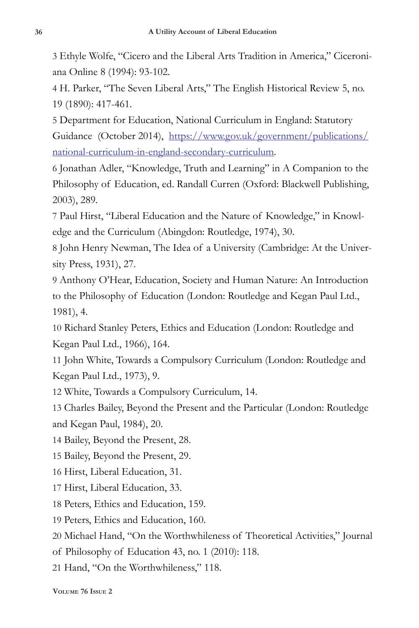3 Ethyle Wolfe, "Cicero and the Liberal Arts Tradition in America," Ciceroniana Online 8 (1994): 93-102.

4 H. Parker, "The Seven Liberal Arts," The English Historical Review 5, no. 19 (1890): 417-461.

5 Department for Education, National Curriculum in England: Statutory Guidance (October 2014), https://www.gov.uk/government/publications/ national-curriculum-in-england-secondary-curriculum.

6 Jonathan Adler, "Knowledge, Truth and Learning" in A Companion to the Philosophy of Education, ed. Randall Curren (Oxford: Blackwell Publishing, 2003), 289.

7 Paul Hirst, "Liberal Education and the Nature of Knowledge," in Knowledge and the Curriculum (Abingdon: Routledge, 1974), 30.

8 John Henry Newman, The Idea of a University (Cambridge: At the University Press, 1931), 27.

9 Anthony O'Hear, Education, Society and Human Nature: An Introduction to the Philosophy of Education (London: Routledge and Kegan Paul Ltd., 1981), 4.

10 Richard Stanley Peters, Ethics and Education (London: Routledge and Kegan Paul Ltd., 1966), 164.

11 John White, Towards a Compulsory Curriculum (London: Routledge and Kegan Paul Ltd., 1973), 9.

12 White, Towards a Compulsory Curriculum, 14.

13 Charles Bailey, Beyond the Present and the Particular (London: Routledge and Kegan Paul, 1984), 20.

14 Bailey, Beyond the Present, 28.

15 Bailey, Beyond the Present, 29.

16 Hirst, Liberal Education, 31.

17 Hirst, Liberal Education, 33.

18 Peters, Ethics and Education, 159.

19 Peters, Ethics and Education, 160.

20 Michael Hand, "On the Worthwhileness of Theoretical Activities," Journal

of Philosophy of Education 43, no. 1 (2010): 118.

21 Hand, "On the Worthwhileness," 118.